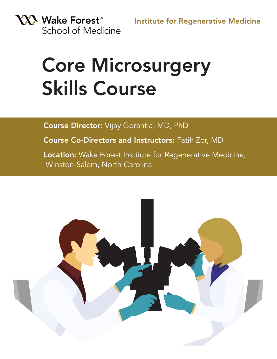

# Core Microsurgery Skills Course

Course Director: Vijay Gorantla, MD, PhD

Course Co-Directors and Instructors: Fatih Zor, MD

Location: Wake Forest Institute for Regenerative Medicine, Winston-Salem, North Carolina

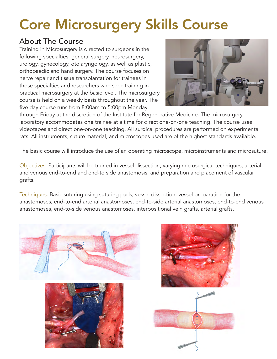# Core Microsurgery Skills Course

## About The Course

Training in Microsurgery is directed to surgeons in the following specialties: general surgery, neurosurgery, urology, gynecology, otolaryngology, as well as plastic, orthopaedic and hand surgery. The course focuses on nerve repair and tissue transplantation for trainees in those specialties and researchers who seek training in practical microsurgery at the basic level. The microsurgery course is held on a weekly basis throughout the year. The five day course runs from 8:00am to 5:00pm Monday



through Friday at the discretion of the Institute for Regenerative Medicine. The microsurgery laboratory accommodates one trainee at a time for direct one-on-one teaching. The course uses videotapes and direct one-on-one teaching. All surgical procedures are performed on experimental rats. All instruments, suture material, and microscopes used are of the highest standards available.

The basic course will introduce the use of an operating microscope, microinstruments and microsuture.

Objectives: Participants will be trained in vessel dissection, varying microsurgical techniques, arterial and venous end-to-end and end-to side anastomosis, and preparation and placement of vascular grafts.

Techniques: Basic suturing using suturing pads, vessel dissection, vessel preparation for the anastomoses, end-to-end arterial anastomoses, end-to-side arterial anastomoses, end-to-end venous anastomoses, end-to-side venous anastomoses, interpositional vein grafts, arterial grafts.





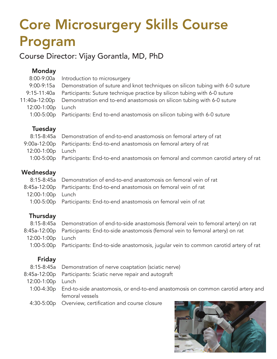# Core Microsurgery Skills Course Program

Course Director: Vijay Gorantla, MD, PhD

| <b>Monday</b>  |                                                                                  |
|----------------|----------------------------------------------------------------------------------|
| $8:00 - 9:00a$ | Introduction to microsurgery                                                     |
| $9:00-9:15a$   | Demonstration of suture and knot techniques on silicon tubing with 6-0 suture    |
| $9:15-11:40a$  | Participants: Suture technique practice by silicon tubing with 6-0 suture        |
| 11:40a-12:00p  | Demonstration end to end anastomosis on silicon tubing with 6-0 suture           |
| 12:00-1:00p    | Lunch                                                                            |
| $1:00-5:00p$   | Participants: End to-end anastomosis on silicon tubing with 6-0 suture           |
| Tuesday        |                                                                                  |
| $8:15-8:45a$   | Demonstration of end-to-end anastomosis on femoral artery of rat                 |
| 9:00a-12:00p   | Participants: End-to-end anastomosis on femoral artery of rat                    |
| 12:00-1:00p    | Lunch                                                                            |
| $1:00-5:00p$   | Participants: End-to-end anastomosis on femoral and common carotid artery of rat |
| Wednesday      |                                                                                  |

|                   | 8:15-8:45a Demonstration of end-to-end anastomosis on femoral vein of rat |
|-------------------|---------------------------------------------------------------------------|
|                   | 8:45a-12:00p Participants: End-to-end anastomosis on femoral vein of rat  |
| 12:00-1:00p Lunch |                                                                           |
|                   | 1:00-5:00p Participants: End-to-end anastomosis on femoral vein of rat    |

### **Thursday**

|                   | 8:15-8:45a Demonstration of end-to-side anastomosis (femoral vein to femoral artery) on rat    |
|-------------------|------------------------------------------------------------------------------------------------|
|                   | 8:45a-12:00p Participants: End-to-side anastomosis (femoral vein to femoral artery) on rat     |
| 12:00-1:00p Lunch |                                                                                                |
|                   | 1:00-5:00p Participants: End-to-side anastomosis, jugular vein to common carotid artery of rat |

### Friday

- 8:15-8:45a Demonstration of nerve coaptation (sciatic nerve)
- 8:45a-12:00p Participants: Sciatic nerve repair and autograft
- 12:00-1:00p Lunch
- 1:00-4:30p End-to-side anastomosis, or end-to-end anastomosis on common carotid artery and femoral vessels
- 4:30-5:00p Overview, certification and course closure

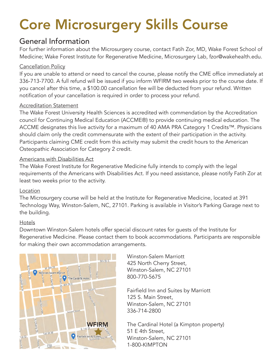# Core Microsurgery Skills Course

## General Information

For further information about the Microsurgery course, contact Fatih Zor, MD, Wake Forest School of Medicine; Wake Forest Institute for Regenerative Medicine, Microsurgery Lab, fzor@wakehealth.edu.

#### Cancellation Policy

If you are unable to attend or need to cancel the course, please notify the CME office immediately at 336-713-7700. A full refund will be issued if you inform WFIRM two weeks prior to the course date. If you cancel after this time, a \$100.00 cancellation fee will be deducted from your refund. Written notification of your cancellation is required in order to process your refund.

#### Accreditation Statement

The Wake Forest University Health Sciences is accredited with commendation by the Accreditation council for Continuing Medical Education (ACCME®) to provide continuing medical education. The ACCME designates this live activity for a maximum of 40 AMA PRA Category 1 Credits™. Physicians should claim only the credit commensurate with the extent of their participation in the activity. Participants claiming CME credit from this activity may submit the credit hours to the American Osteopathic Association for Category 2 credit.

#### Americans with Disabilities Act

The Wake Forest Institute for Regenerative Medicine fully intends to comply with the legal requirements of the Americans with Disabilities Act. If you need assistance, please notify Fatih Zor at least two weeks prior to the activity.

#### Location

The Microsurgery course will be held at the Institute for Regenerative Medicine, located at 391 Technology Way, Winston-Salem, NC, 27101. Parking is available in Visitor's Parking Garage next to the building.

#### Hotels

Downtown Winston-Salem hotels offer special discount rates for guests of the Institute for Regenerative Medicine. Please contact them to book accommodations. Participants are responsible for making their own accommodation arrangements.



Winston-Salem Marriott 425 North Cherry Street, Winston-Salem, NC 27101 800-770-5675

Fairfield Inn and Suites by Marriott 125 S. Main Street, Winston-Salem, NC 27101 336-714-2800

The Cardinal Hotel (a Kimpton property) 51 E 4th Street, Winston-Salem, NC 27101 1-800-KIMPTON